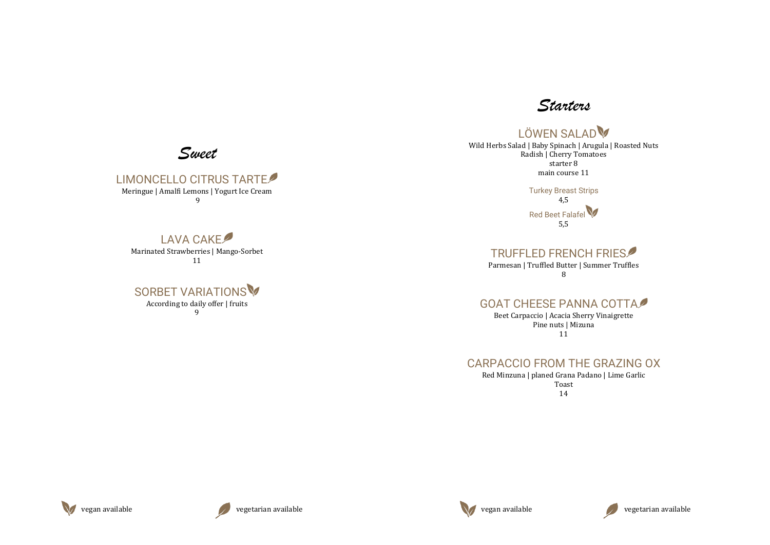







### LIMONCELLO CITRUS TARTE

Meringue | Amalfi Lemons | Yogurt Ice Cream 9

#### SORBET VARIATIONS According to daily offer | fruits 9

# LAVA CAKE





Marinated Strawberries | Mango-Sorbet 11

Red Beet Falafel 5,5



# LÖWEN SALAD

Wild Herbs Salad | Baby Spinach | Arugula | Roasted Nuts Radish | Cherry Tomatoes starter 8 main course 11

> Turkey Breast Strips 4,5

### TRUFFLED FRENCH FRIES

Parmesan | Truffled Butter | Summer Truffles 8

# GOAT CHEESE PANNA COTTA

Beet Carpaccio | Acacia Sherry Vinaigrette Pine nuts | Mizuna 11

# CARPACCIO FROM THE GRAZING OX

Red Minzuna | planed Grana Padano | Lime Garlic Toast 14